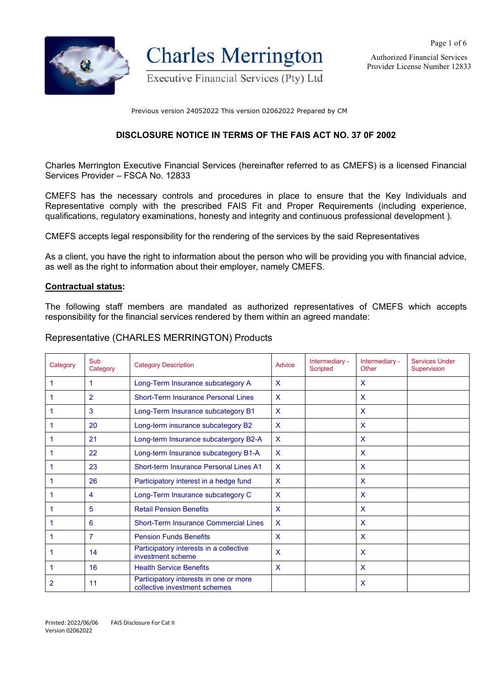

**Charles Merrington** 

Executive Financial Services (Pty) Ltd

Authorized Financial Services Provider License Number 12833

Page 1 of 6

Previous version 24052022 This version 02062022 Prepared by CM

#### **DISCLOSURE NOTICE IN TERMS OF THE FAIS ACT NO. 37 0F 2002**

Charles Merrington Executive Financial Services (hereinafter referred to as CMEFS) is a licensed Financial Services Provider – FSCA No. 12833

CMEFS has the necessary controls and procedures in place to ensure that the Key Individuals and Representative comply with the prescribed FAIS Fit and Proper Requirements (including experience, qualifications, regulatory examinations, honesty and integrity and continuous professional development ).

CMEFS accepts legal responsibility for the rendering of the services by the said Representatives

As a client, you have the right to information about the person who will be providing you with financial advice, as well as the right to information about their employer, namely CMEFS.

#### **Contractual status:**

The following staff members are mandated as authorized representatives of CMEFS which accepts responsibility for the financial services rendered by them within an agreed mandate:

#### Representative (CHARLES MERRINGTON) Products

| Category | Sub<br>Category                                                               | <b>Category Description</b>                                  | Advice       | Intermediary -<br><b>Scripted</b> | Intermediary -<br>Other   | <b>Services Under</b><br>Supervision |
|----------|-------------------------------------------------------------------------------|--------------------------------------------------------------|--------------|-----------------------------------|---------------------------|--------------------------------------|
|          | 1                                                                             | Long-Term Insurance subcategory A                            | $\mathsf{x}$ |                                   | $\mathsf{x}$              |                                      |
|          | $\overline{2}$                                                                | <b>Short-Term Insurance Personal Lines</b>                   | $\mathsf{x}$ |                                   | $\mathsf{x}$              |                                      |
|          | 3                                                                             | Long-Term Insurance subcategory B1                           | $\mathsf{X}$ |                                   | X                         |                                      |
|          | 20                                                                            | Long-term insurance subcategory B2                           | $\mathsf{x}$ |                                   | $\mathsf{x}$              |                                      |
|          | 21                                                                            | Long-term Insurance subcatergory B2-A                        |              |                                   | $\mathsf{x}$              |                                      |
|          | 22                                                                            | Long-term Insurance subcategory B1-A                         |              |                                   | $\mathsf{X}$              |                                      |
|          | 23                                                                            | Short-term Insurance Personal Lines A1                       |              |                                   | $\mathsf{X}$              |                                      |
|          | 26                                                                            | Participatory interest in a hedge fund                       |              |                                   | $\mathsf{x}$              |                                      |
|          | 4                                                                             | Long-Term Insurance subcategory C                            |              |                                   | X                         |                                      |
|          | 5                                                                             | <b>Retail Pension Benefits</b>                               |              |                                   | $\mathsf{x}$              |                                      |
|          | 6                                                                             | <b>Short-Term Insurance Commercial Lines</b>                 | X            |                                   | X                         |                                      |
|          | 7                                                                             | <b>Pension Funds Benefits</b>                                |              |                                   | $\mathsf{x}$              |                                      |
|          | 14                                                                            | Participatory interests in a collective<br>investment scheme |              |                                   | $\mathsf{x}$              |                                      |
|          | 16                                                                            | <b>Health Service Benefits</b>                               | $\mathsf{X}$ |                                   | $\mathsf{X}$              |                                      |
| 2        | Participatory interests in one or more<br>11<br>collective investment schemes |                                                              |              |                                   | $\boldsymbol{\mathsf{X}}$ |                                      |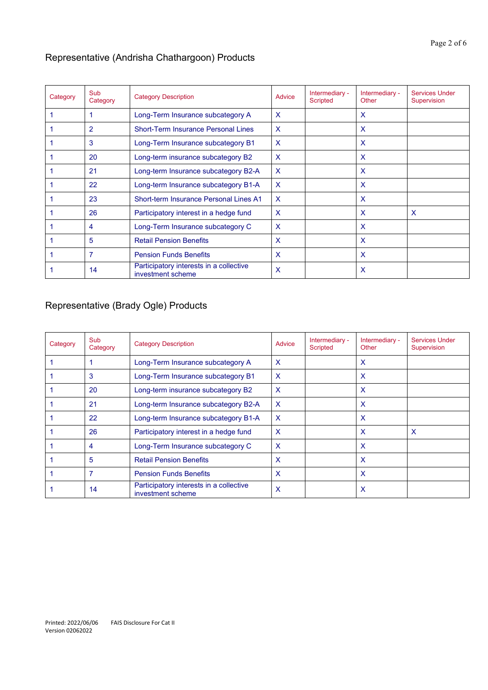## Representative (Andrisha Chathargoon) Products

| Category | Sub<br>Category                                                    | <b>Category Description</b>                | <b>Advice</b> | Intermediary -<br><b>Scripted</b> | Intermediary -<br>Other | <b>Services Under</b><br>Supervision |
|----------|--------------------------------------------------------------------|--------------------------------------------|---------------|-----------------------------------|-------------------------|--------------------------------------|
|          |                                                                    | Long-Term Insurance subcategory A          | $\mathsf{x}$  |                                   | $\mathsf{X}$            |                                      |
|          | 2                                                                  | <b>Short-Term Insurance Personal Lines</b> | $\mathsf{x}$  |                                   | X                       |                                      |
|          | 3                                                                  | Long-Term Insurance subcategory B1         | $\mathsf{x}$  |                                   | $\mathsf{x}$            |                                      |
|          | 20                                                                 | Long-term insurance subcategory B2         |               |                                   | $\mathsf{X}$            |                                      |
|          | 21                                                                 | Long-term Insurance subcategory B2-A       |               |                                   | X                       |                                      |
|          | 22                                                                 | Long-term Insurance subcategory B1-A       |               |                                   | $\mathsf{x}$            |                                      |
|          | 23                                                                 | Short-term Insurance Personal Lines A1     |               |                                   | $\mathsf{X}$            |                                      |
|          | 26                                                                 | Participatory interest in a hedge fund     | $\mathsf{x}$  |                                   | X                       | X                                    |
|          | 4                                                                  | Long-Term Insurance subcategory C          | $\mathsf{x}$  |                                   | $\mathsf{x}$            |                                      |
|          | 5                                                                  | <b>Retail Pension Benefits</b>             |               |                                   | $\mathsf{X}$            |                                      |
|          | 7                                                                  | <b>Pension Funds Benefits</b>              | $\mathsf{x}$  |                                   | X                       |                                      |
|          | Participatory interests in a collective<br>14<br>investment scheme |                                            | X             |                                   | x                       |                                      |

# Representative (Brady Ogle) Products

| Category | Sub<br>Category                                                    | <b>Category Description</b>            | Advice                    | Intermediary -<br>Scripted | Intermediary -<br>Other | <b>Services Under</b><br>Supervision |
|----------|--------------------------------------------------------------------|----------------------------------------|---------------------------|----------------------------|-------------------------|--------------------------------------|
|          |                                                                    | Long-Term Insurance subcategory A      | $\mathsf{x}$              |                            | $\mathsf{X}$            |                                      |
|          | 3                                                                  | Long-Term Insurance subcategory B1     | $\mathsf{x}$              |                            | X                       |                                      |
|          | 20                                                                 | Long-term insurance subcategory B2     | $\mathsf{x}$              |                            | X                       |                                      |
|          | 21                                                                 | Long-term Insurance subcategory B2-A   |                           |                            | $\mathsf{x}$            |                                      |
|          | 22                                                                 | Long-term Insurance subcategory B1-A   |                           |                            | X                       |                                      |
|          | 26                                                                 | Participatory interest in a hedge fund |                           |                            | X                       | $\mathsf{x}$                         |
|          | 4                                                                  | Long-Term Insurance subcategory C      | $\mathsf{x}$              |                            | X                       |                                      |
|          | 5                                                                  | <b>Retail Pension Benefits</b>         | X                         |                            | X                       |                                      |
|          | 7                                                                  | <b>Pension Funds Benefits</b>          | X                         |                            | X                       |                                      |
|          | Participatory interests in a collective<br>14<br>investment scheme |                                        | $\boldsymbol{\mathsf{x}}$ |                            | X                       |                                      |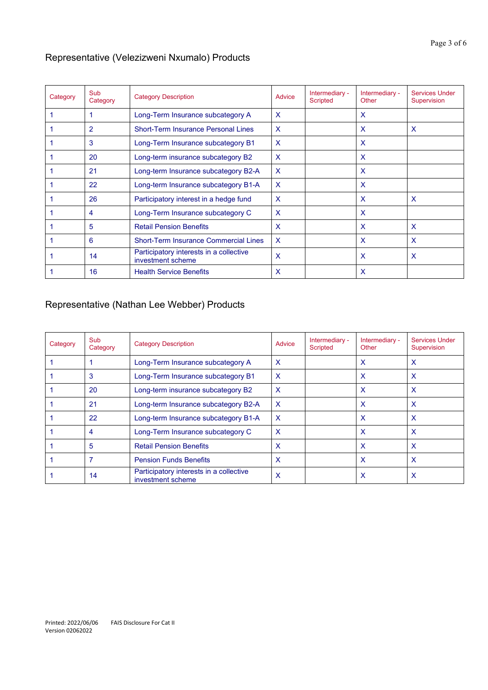## Representative (Velezizweni Nxumalo) Products

| Category | Sub<br>Category | <b>Category Description</b>                                  | Advice       | Intermediary -<br><b>Scripted</b> | Intermediary -<br>Other | <b>Services Under</b><br>Supervision |
|----------|-----------------|--------------------------------------------------------------|--------------|-----------------------------------|-------------------------|--------------------------------------|
|          |                 | Long-Term Insurance subcategory A                            | X            |                                   | X                       |                                      |
|          | 2               | <b>Short-Term Insurance Personal Lines</b>                   | X            |                                   | X                       | $\mathsf{x}$                         |
|          | 3               | Long-Term Insurance subcategory B1                           | $\mathsf{x}$ |                                   | x                       |                                      |
|          | 20              | Long-term insurance subcategory B2                           |              |                                   | X                       |                                      |
|          | 21              | Long-term Insurance subcategory B2-A                         |              |                                   | X                       |                                      |
|          | 22              | Long-term Insurance subcategory B1-A                         |              |                                   | X                       |                                      |
|          | 26              | Participatory interest in a hedge fund                       | X            |                                   | X                       | $\mathsf{x}$                         |
|          | 4               | Long-Term Insurance subcategory C                            | X            |                                   | X                       |                                      |
|          | 5               | <b>Retail Pension Benefits</b>                               | X            |                                   | X                       | X                                    |
|          | 6               | <b>Short-Term Insurance Commercial Lines</b>                 |              |                                   | X                       | X                                    |
|          | 14              | Participatory interests in a collective<br>investment scheme | X            |                                   | x                       | X                                    |
|          | 16              | <b>Health Service Benefits</b>                               | X            |                                   | X                       |                                      |

## Representative (Nathan Lee Webber) Products

| Category | <b>Sub</b><br>Category | <b>Category Description</b>                                  | Advice | Intermediary -<br><b>Scripted</b> | Intermediary -<br>Other | Services Under<br>Supervision |
|----------|------------------------|--------------------------------------------------------------|--------|-----------------------------------|-------------------------|-------------------------------|
|          |                        | Long-Term Insurance subcategory A                            | X      |                                   | x                       | X                             |
|          | 3                      | Long-Term Insurance subcategory B1                           | X      |                                   | x                       | X                             |
|          | 20                     | Long-term insurance subcategory B2                           | x      |                                   | x                       | X                             |
|          | 21                     | Long-term Insurance subcategory B2-A                         | X      |                                   | x                       | X                             |
|          | 22                     | Long-term Insurance subcategory B1-A                         | X      |                                   | X                       | $\boldsymbol{\mathsf{x}}$     |
|          | 4                      | Long-Term Insurance subcategory C                            | x      |                                   | X                       | X                             |
|          | 5                      | <b>Retail Pension Benefits</b>                               | x      |                                   | X                       | X                             |
|          |                        | <b>Pension Funds Benefits</b>                                | x      |                                   | x                       | X                             |
|          | 14                     | Participatory interests in a collective<br>investment scheme | x      |                                   | x                       | X                             |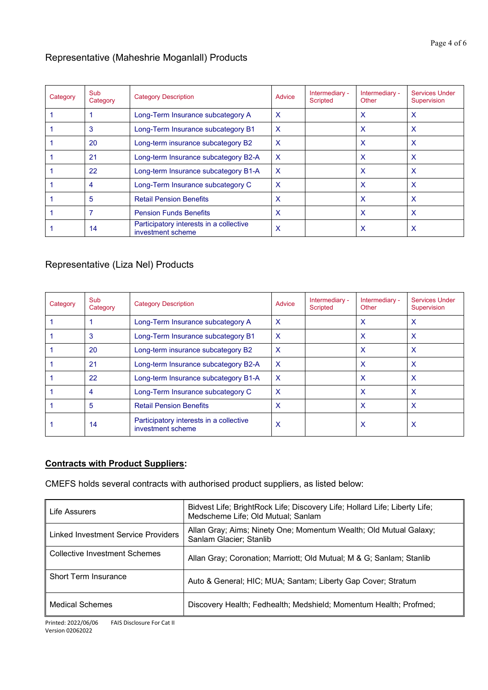## Representative (Maheshrie Moganlall) Products

| Category | Sub<br>Category | <b>Category Description</b>                                  | Advice | Intermediary -<br><b>Scripted</b> | Intermediary -<br>Other | <b>Services Under</b><br>Supervision |
|----------|-----------------|--------------------------------------------------------------|--------|-----------------------------------|-------------------------|--------------------------------------|
|          |                 | Long-Term Insurance subcategory A                            | X      |                                   | x                       | x                                    |
|          | 3               | Long-Term Insurance subcategory B1                           | X      |                                   | x                       | x                                    |
|          | 20              | Long-term insurance subcategory B2                           | x      |                                   | x                       | x                                    |
|          | 21              | Long-term Insurance subcategory B2-A                         |        |                                   | X                       | X                                    |
|          | 22              | Long-term Insurance subcategory B1-A                         | X      |                                   | x                       | x                                    |
|          | 4               | Long-Term Insurance subcategory C                            | X      |                                   | x                       | x                                    |
|          | 5               | <b>Retail Pension Benefits</b>                               | x      |                                   | x                       | x                                    |
|          | 7               | <b>Pension Funds Benefits</b>                                | x      |                                   | x                       | x                                    |
|          | 14              | Participatory interests in a collective<br>investment scheme | X      |                                   | х                       | х                                    |

## Representative (Liza Nel) Products

| Category | Sub<br>Category | <b>Category Description</b>                                  | Advice                    | Intermediary -<br><b>Scripted</b> | Intermediary -<br>Other | Services Under<br>Supervision |
|----------|-----------------|--------------------------------------------------------------|---------------------------|-----------------------------------|-------------------------|-------------------------------|
|          |                 | Long-Term Insurance subcategory A                            | $\boldsymbol{\mathsf{x}}$ |                                   | X                       | $\boldsymbol{\mathsf{x}}$     |
|          | 3               | Long-Term Insurance subcategory B1                           | $\boldsymbol{\mathsf{X}}$ |                                   | X                       | X                             |
|          | 20              | Long-term insurance subcategory B2                           | $\boldsymbol{\mathsf{x}}$ |                                   | X                       | $\boldsymbol{\mathsf{x}}$     |
|          | 21              | Long-term Insurance subcategory B2-A                         | $\mathsf{x}$              |                                   | X                       | $\boldsymbol{\mathsf{x}}$     |
|          | 22              | Long-term Insurance subcategory B1-A                         | $\boldsymbol{\mathsf{X}}$ |                                   | X                       | $\boldsymbol{\mathsf{x}}$     |
|          | 4               | Long-Term Insurance subcategory C                            | $\boldsymbol{\mathsf{x}}$ |                                   | X                       | $\boldsymbol{\mathsf{x}}$     |
|          | 5               | <b>Retail Pension Benefits</b>                               | Х                         |                                   | X                       | $\boldsymbol{\mathsf{x}}$     |
|          | 14              | Participatory interests in a collective<br>investment scheme | х                         |                                   | X                       | X                             |

## **Contracts with Product Suppliers:**

CMEFS holds several contracts with authorised product suppliers, as listed below:

| Life Assurers                       | Bidvest Life; BrightRock Life; Discovery Life; Hollard Life; Liberty Life;<br>Medscheme Life; Old Mutual; Sanlam |  |
|-------------------------------------|------------------------------------------------------------------------------------------------------------------|--|
| Linked Investment Service Providers | Allan Gray; Aims; Ninety One; Momentum Wealth; Old Mutual Galaxy;<br>Sanlam Glacier; Stanlib                     |  |
| Collective Investment Schemes       | Allan Gray; Coronation; Marriott; Old Mutual; M & G; Sanlam; Stanlib                                             |  |
| <b>Short Term Insurance</b>         | Auto & General; HIC; MUA; Santam; Liberty Gap Cover; Stratum                                                     |  |
| <b>Medical Schemes</b>              | Discovery Health; Fedhealth; Medshield; Momentum Health; Profmed;                                                |  |

Printed: 2022/06/06 FAIS Disclosure For Cat II Version 02062022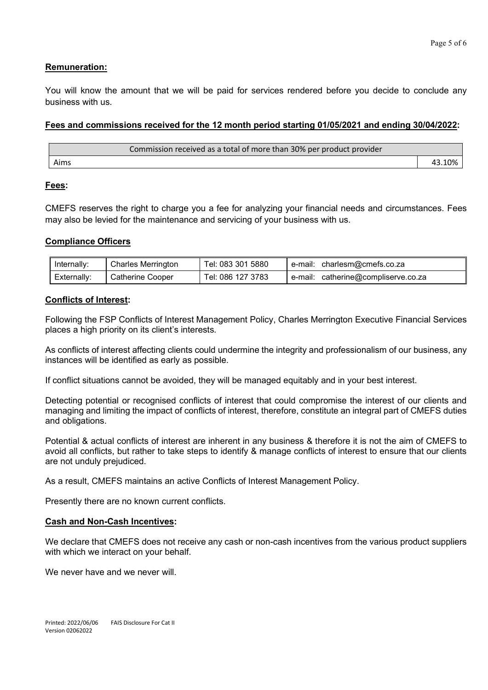### **Remuneration:**

You will know the amount that we will be paid for services rendered before you decide to conclude any business with us.

### **Fees and commissions received for the 12 month period starting 01/05/2021 and ending 30/04/2022:**

| Commission received as a total of more than 30% per product provider |  |
|----------------------------------------------------------------------|--|
| Aims                                                                 |  |

### **Fees:**

CMEFS reserves the right to charge you a fee for analyzing your financial needs and circumstances. Fees may also be levied for the maintenance and servicing of your business with us.

### **Compliance Officers**

| lnternally: | <b>Charles Merrington</b> | Tel: 083 301 5880 | charlesm@cmefs.co.za<br>e-mail:        |
|-------------|---------------------------|-------------------|----------------------------------------|
| Externally: | Catherine Cooper          | Tel: 086 127 3783 | catherine@compliserve.co.za<br>e-mail: |

#### **Conflicts of Interest:**

Following the FSP Conflicts of Interest Management Policy, Charles Merrington Executive Financial Services places a high priority on its client's interests.

As conflicts of interest affecting clients could undermine the integrity and professionalism of our business, any instances will be identified as early as possible.

If conflict situations cannot be avoided, they will be managed equitably and in your best interest.

Detecting potential or recognised conflicts of interest that could compromise the interest of our clients and managing and limiting the impact of conflicts of interest, therefore, constitute an integral part of CMEFS duties and obligations.

Potential & actual conflicts of interest are inherent in any business & therefore it is not the aim of CMEFS to avoid all conflicts, but rather to take steps to identify & manage conflicts of interest to ensure that our clients are not unduly prejudiced.

As a result, CMEFS maintains an active Conflicts of Interest Management Policy.

Presently there are no known current conflicts.

#### **Cash and Non-Cash Incentives:**

We declare that CMEFS does not receive any cash or non-cash incentives from the various product suppliers with which we interact on your behalf.

We never have and we never will.